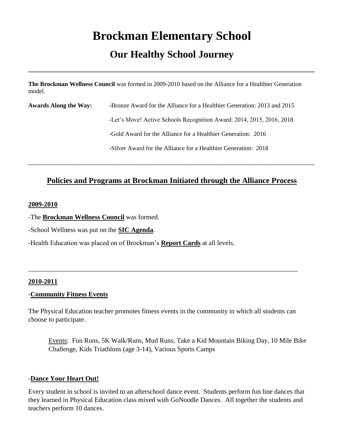# **Brockman Elementary School**

# **Our Healthy School Journey**

**\_\_\_\_\_\_\_\_\_\_\_\_\_\_\_\_\_\_\_\_\_\_\_\_\_\_\_\_\_\_\_\_\_\_\_\_\_\_\_\_\_\_\_\_\_\_\_\_\_\_\_\_\_\_\_\_\_\_\_\_\_\_\_\_\_\_\_\_\_\_\_\_\_\_\_\_\_\_\_\_\_\_\_\_\_**

**The Brockman Wellness Council** was formed in 2009-2010 based on the Alliance for a Healthier Generation model.

**Awards Along the Way:** -Bronze Award for the Alliance for a Healthier Generation: 2013 and 2015 -Let's Move! Active Schools Recognition Award: 2014, 2015, 2016, 2018 -Gold Award for the Alliance for a Healthier Generation: 2016 -Silver Award for the Alliance for a Healthier Generation: 2018

# **Policies and Programs at Brockman Initiated through the Alliance Process**

\_\_\_\_\_\_\_\_\_\_\_\_\_\_\_\_\_\_\_\_\_\_\_\_\_\_\_\_\_\_\_\_\_\_\_\_\_\_\_\_\_\_\_\_\_\_\_\_\_\_\_\_\_\_\_\_\_\_\_\_\_\_\_\_\_\_\_\_\_\_\_\_\_\_\_\_\_\_\_\_\_\_\_\_\_

#### **2009-2010**

-The **Brockman Wellness Council** was formed.

-School Wellness was put on the **SIC Agenda**.

-Health Education was placed on of Brockman's **Report Cards** at all levels.

# **2010-2011**

# -**Community Fitness Events**

The Physical Education teacher promotes fitness events in the community in which all students can choose to participate.

\_\_\_\_\_\_\_\_\_\_\_\_\_\_\_\_\_\_\_\_\_\_\_\_\_\_\_\_\_\_\_\_\_\_\_\_\_\_\_\_\_\_\_\_\_\_\_\_\_\_\_\_\_\_\_\_\_\_\_\_\_\_\_\_\_\_\_\_\_\_\_\_\_\_\_\_\_\_\_\_

Events: Fun Runs, 5K Walk/Runs, Mud Runs, Take a Kid Mountain Biking Day, 10 Mile Bike Challenge, Kids Triathlons (age 3-14), Various Sports Camps

# -**Dance Your Heart Out!**

Every student in school is invited to an afterschool dance event. Students perform fun line dances that they learned in Physical Education class mixed with GoNoodle Dances. All together the students and teachers perform 10 dances.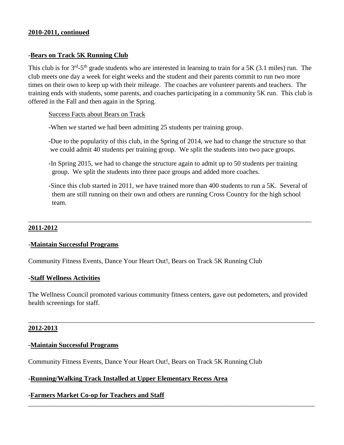# **2010-2011, continued**

# -**Bears on Track 5K Running Club**

This club is for  $3<sup>rd</sup> - 5<sup>th</sup>$  grade students who are interested in learning to train for a 5K (3.1 miles) run. The club meets one day a week for eight weeks and the student and their parents commit to run two more times on their own to keep up with their mileage. The coaches are volunteer parents and teachers. The training ends with students, some parents, and coaches participating in a community 5K run. This club is offered in the Fall and then again in the Spring.

#### Success Facts about Bears on Track

-When we started we had been admitting 25 students per training group.

- -Due to the popularity of this club, in the Spring of 2014, we had to change the structure so that we could admit 40 students per training group. We split the students into two pace groups.
- -In Spring 2015, we had to change the structure again to admit up to 50 students per training group. We split the students into three pace groups and added more coaches.
- -Since this club started in 2011, we have trained more than 400 students to run a 5K. Several of them are still running on their own and others are running Cross Country for the high school team.

\_\_\_\_\_\_\_\_\_\_\_\_\_\_\_\_\_\_\_\_\_\_\_\_\_\_\_\_\_\_\_\_\_\_\_\_\_\_\_\_\_\_\_\_\_\_\_\_\_\_\_\_\_\_\_\_\_\_\_\_\_\_\_\_\_\_\_\_\_\_\_\_\_\_\_\_\_\_\_\_\_\_\_\_

# **2011-2012**

#### -**Maintain Successful Programs**

Community Fitness Events, Dance Your Heart Out!, Bears on Track 5K Running Club

#### **-Staff Wellness Activities**

The Wellness Council promoted various community fitness centers, gave out pedometers, and provided health screenings for staff.

\_\_\_\_\_\_\_\_\_\_\_\_\_\_\_\_\_\_\_\_\_\_\_\_\_\_\_\_\_\_\_\_\_\_\_\_\_\_\_\_\_\_\_\_\_\_\_\_\_\_\_\_\_\_\_\_\_\_\_\_\_\_\_\_\_\_\_\_\_\_\_\_\_\_\_\_\_\_\_\_\_\_\_\_\_

\_\_\_\_\_\_\_\_\_\_\_\_\_\_\_\_\_\_\_\_\_\_\_\_\_\_\_\_\_\_\_\_\_\_\_\_\_\_\_\_\_\_\_\_\_\_\_\_\_\_\_\_\_\_\_\_\_\_\_\_\_\_\_\_\_\_\_\_\_\_\_\_\_\_\_\_\_\_\_\_\_\_\_\_\_

#### **2012-2013**

#### **-Maintain Successful Programs**

Community Fitness Events, Dance Your Heart Out!, Bears on Track 5K Running Club

# **-Running/Walking Track Installed at Upper Elementary Recess Area**

# **-Farmers Market Co-op for Teachers and Staff**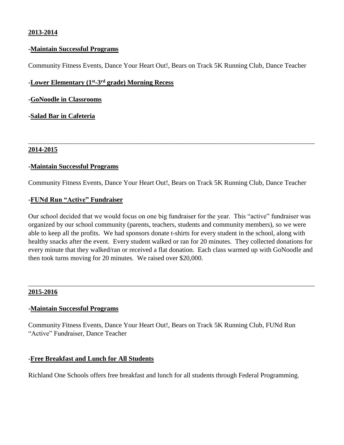# **2013-2014**

# **-Maintain Successful Programs**

Community Fitness Events, Dance Your Heart Out!, Bears on Track 5K Running Club, Dance Teacher

# **-Lower Elementary (1st -3 rd grade) Morning Recess**

**-GoNoodle in Classrooms**

**-Salad Bar in Cafeteria**

# **2014-2015**

# **-Maintain Successful Programs**

Community Fitness Events, Dance Your Heart Out!, Bears on Track 5K Running Club, Dance Teacher

\_\_\_\_\_\_\_\_\_\_\_\_\_\_\_\_\_\_\_\_\_\_\_\_\_\_\_\_\_\_\_\_\_\_\_\_\_\_\_\_\_\_\_\_\_\_\_\_\_\_\_\_\_\_\_\_\_\_\_\_\_\_\_\_\_\_\_\_\_\_\_\_\_\_\_\_\_\_\_\_\_\_\_\_\_

# **-FUNd Run "Active" Fundraiser**

Our school decided that we would focus on one big fundraiser for the year. This "active" fundraiser was organized by our school community (parents, teachers, students and community members), so we were able to keep all the profits. We had sponsors donate t-shirts for every student in the school, along with healthy snacks after the event. Every student walked or ran for 20 minutes. They collected donations for every minute that they walked/ran or received a flat donation. Each class warmed up with GoNoodle and then took turns moving for 20 minutes. We raised over \$20,000.

\_\_\_\_\_\_\_\_\_\_\_\_\_\_\_\_\_\_\_\_\_\_\_\_\_\_\_\_\_\_\_\_\_\_\_\_\_\_\_\_\_\_\_\_\_\_\_\_\_\_\_\_\_\_\_\_\_\_\_\_\_\_\_\_\_\_\_\_\_\_\_\_\_\_\_\_\_\_\_\_\_\_\_\_\_

# **2015-2016**

# **-Maintain Successful Programs**

Community Fitness Events, Dance Your Heart Out!, Bears on Track 5K Running Club, FUNd Run "Active" Fundraiser, Dance Teacher

# **-Free Breakfast and Lunch for All Students**

Richland One Schools offers free breakfast and lunch for all students through Federal Programming.